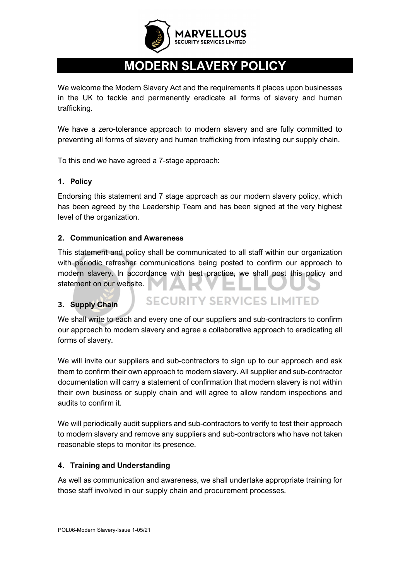

# **MODERN SLAVERY POLICY**

We welcome the Modern Slavery Act and the requirements it places upon businesses in the UK to tackle and permanently eradicate all forms of slavery and human trafficking.

We have a zero-tolerance approach to modern slavery and are fully committed to preventing all forms of slavery and human trafficking from infesting our supply chain.

To this end we have agreed a 7-stage approach:

## **1. Policy**

Endorsing this statement and 7 stage approach as our modern slavery policy, which has been agreed by the Leadership Team and has been signed at the very highest level of the organization.

## **2. Communication and Awareness**

This statement and policy shall be communicated to all staff within our organization with periodic refresher communications being posted to confirm our approach to modern slavery. In accordance with best practice, we shall post this policy and statement on our website.

#### **3. Supply Chain**

**SECURITY SERVICES LIMITED** 

We shall write to each and every one of our suppliers and sub-contractors to confirm our approach to modern slavery and agree a collaborative approach to eradicating all forms of slavery.

We will invite our suppliers and sub-contractors to sign up to our approach and ask them to confirm their own approach to modern slavery. All supplier and sub-contractor documentation will carry a statement of confirmation that modern slavery is not within their own business or supply chain and will agree to allow random inspections and audits to confirm it.

We will periodically audit suppliers and sub-contractors to verify to test their approach to modern slavery and remove any suppliers and sub-contractors who have not taken reasonable steps to monitor its presence.

#### **4. Training and Understanding**

As well as communication and awareness, we shall undertake appropriate training for those staff involved in our supply chain and procurement processes.